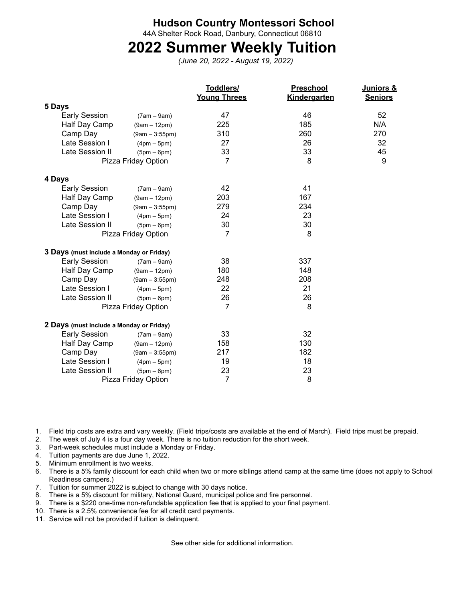## **Hudson Country Montessori School**

44A Shelter Rock Road, Danbury, Connecticut 06810

## **2022 Summer Weekly Tuition**

*(June 20, 2022 - August 19, 2022)*

|                                          |                  | Toddlers/<br><b>Young Threes</b> | Preschool<br>Kindergarten | Juniors &<br><b>Seniors</b> |
|------------------------------------------|------------------|----------------------------------|---------------------------|-----------------------------|
| 5 Days                                   |                  |                                  |                           |                             |
| <b>Early Session</b>                     | $(7am - 9am)$    | 47                               | 46                        | 52                          |
| Half Day Camp                            | $(9am - 12pm)$   | 225                              | 185                       | N/A                         |
| Camp Day                                 | $(9am - 3:55pm)$ | 310                              | 260                       | 270                         |
| Late Session I                           | $(4pm-5pm)$      | 27                               | 26                        | 32                          |
| Late Session II                          | $(5pm-6pm)$      | 33                               | 33                        | 45                          |
| Pizza Friday Option                      |                  | 7                                | 8                         | 9                           |
| 4 Days                                   |                  |                                  |                           |                             |
| <b>Early Session</b>                     | $(7am - 9am)$    | 42                               | 41                        |                             |
| Half Day Camp                            | $(9am - 12pm)$   | 203                              | 167                       |                             |
| Camp Day                                 | $(9am - 3:55pm)$ | 279                              | 234                       |                             |
| Late Session I                           | $(4pm-5pm)$      | 24                               | 23                        |                             |
| Late Session II                          | $(5pm-6pm)$      | 30                               | 30                        |                             |
| Pizza Friday Option                      |                  | 7                                | 8                         |                             |
| 3 Days (must include a Monday or Friday) |                  |                                  |                           |                             |
| <b>Early Session</b>                     | $(7am - 9am)$    | 38                               | 337                       |                             |
| Half Day Camp                            | $(9am - 12pm)$   | 180                              | 148                       |                             |
| Camp Day                                 | $(9am - 3:55pm)$ | 248                              | 208                       |                             |
| Late Session I                           | $(4pm-5pm)$      | 22                               | 21                        |                             |
| Late Session II                          | $(5pm-6pm)$      | 26                               | 26                        |                             |
| Pizza Friday Option                      |                  | 7                                | 8                         |                             |
| 2 Days (must include a Monday or Friday) |                  |                                  |                           |                             |
| <b>Early Session</b>                     | $(7am - 9am)$    | 33                               | 32                        |                             |
| Half Day Camp                            | $(9am - 12pm)$   | 158                              | 130                       |                             |
| Camp Day                                 | $(9am - 3:55pm)$ | 217                              | 182                       |                             |
| Late Session I                           | $(4pm-5pm)$      | 19                               | 18                        |                             |
| Late Session II                          | $(5pm-6pm)$      | 23                               | 23                        |                             |
| Pizza Friday Option                      |                  | $\overline{7}$                   | 8                         |                             |

1. Field trip costs are extra and vary weekly. (Field trips/costs are available at the end of March). Field trips must be prepaid.

- 2. The week of July 4 is a four day week. There is no tuition reduction for the short week.
- 3. Part-week schedules must include a Monday or Friday.
- 4. Tuition payments are due June 1, 2022.
- 5. Minimum enrollment is two weeks.
- 6. There is a 5% family discount for each child when two or more siblings attend camp at the same time (does not apply to School Readiness campers.)
- 7. Tuition for summer 2022 is subject to change with 30 days notice.
- 8. There is a 5% discount for military, National Guard, municipal police and fire personnel.
- 9. There is a \$220 one-time non-refundable application fee that is applied to your final payment.
- 10. There is a 2.5% convenience fee for all credit card payments.
- 11. Service will not be provided if tuition is delinquent.

See other side for additional information.